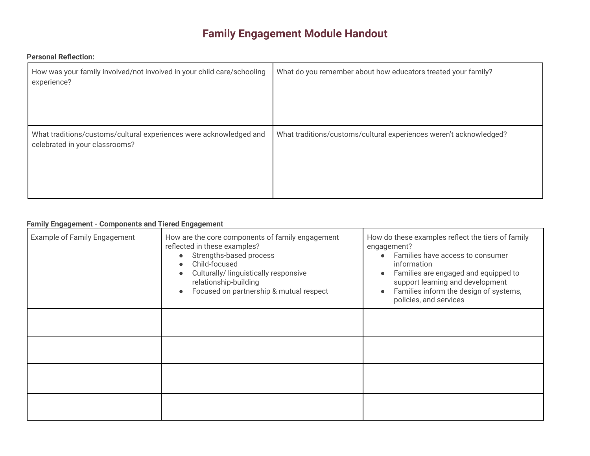# **Family Engagement Module Handout**

# **Personal Reflection:**

| How was your family involved/not involved in your child care/schooling<br>experience?                | What do you remember about how educators treated your family?      |
|------------------------------------------------------------------------------------------------------|--------------------------------------------------------------------|
| What traditions/customs/cultural experiences were acknowledged and<br>celebrated in your classrooms? | What traditions/customs/cultural experiences weren't acknowledged? |

# **Family Engagement - Components and Tiered Engagement**

| Example of Family Engagement | How are the core components of family engagement<br>reflected in these examples?<br>Strengths-based process<br>Child-focused<br>Culturally/ linguistically responsive<br>relationship-building<br>Focused on partnership & mutual respect<br>$\bullet$ | How do these examples reflect the tiers of family<br>engagement?<br>Families have access to consumer<br>$\bullet$<br>information<br>Families are engaged and equipped to<br>$\bullet$<br>support learning and development<br>Families inform the design of systems,<br>$\bullet$<br>policies, and services |
|------------------------------|--------------------------------------------------------------------------------------------------------------------------------------------------------------------------------------------------------------------------------------------------------|------------------------------------------------------------------------------------------------------------------------------------------------------------------------------------------------------------------------------------------------------------------------------------------------------------|
|                              |                                                                                                                                                                                                                                                        |                                                                                                                                                                                                                                                                                                            |
|                              |                                                                                                                                                                                                                                                        |                                                                                                                                                                                                                                                                                                            |
|                              |                                                                                                                                                                                                                                                        |                                                                                                                                                                                                                                                                                                            |
|                              |                                                                                                                                                                                                                                                        |                                                                                                                                                                                                                                                                                                            |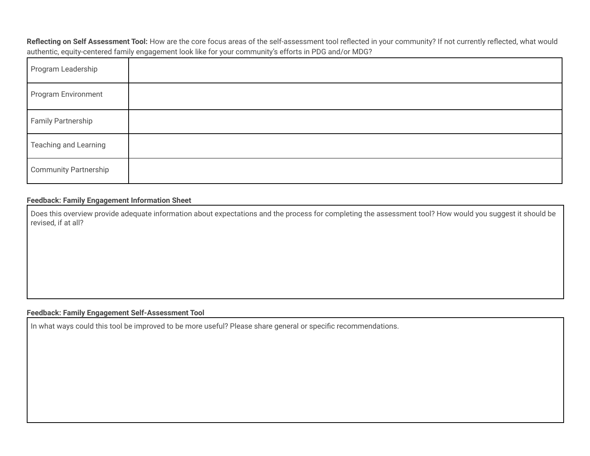**Reflecting on Self Assessment Tool:** How are the core focus areas of the self-assessment tool reflected in your community? If not currently reflected, what would authentic, equity-centered family engagement look like for your community's efforts in PDG and/or MDG?

| Program Leadership           |  |
|------------------------------|--|
| Program Environment          |  |
| Family Partnership           |  |
| <b>Teaching and Learning</b> |  |
| <b>Community Partnership</b> |  |

### **Feedback: Family Engagement Information Sheet**

Does this overview provide adequate information about expectations and the process for completing the assessment tool? How would you suggest it should be revised, if at all?

#### **Feedback: Family Engagement Self-Assessment Tool**

In what ways could this tool be improved to be more useful? Please share general or specific recommendations.